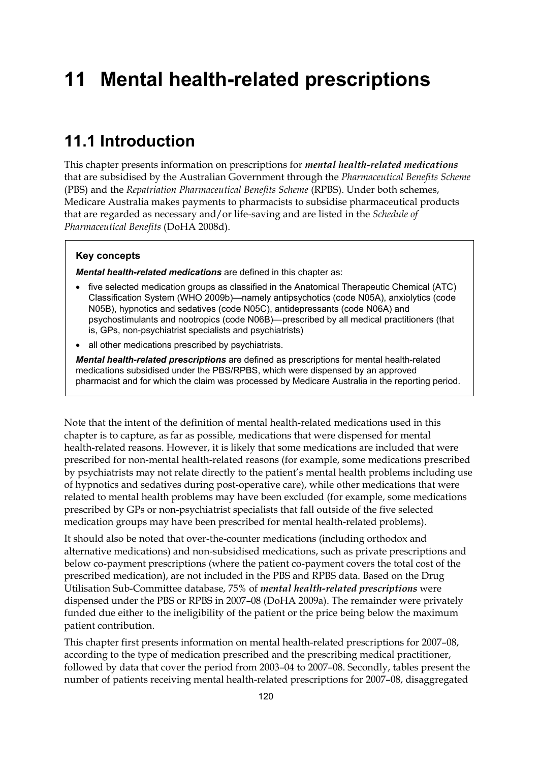# **11 Mental health-related prescriptions**

## **11.1 Introduction**

This chapter presents information on prescriptions for *mental health-related medications* that are subsidised by the Australian Government through the *Pharmaceutical Benefits Scheme* (PBS) and the *Repatriation Pharmaceutical Benefits Scheme* (RPBS). Under both schemes, Medicare Australia makes payments to pharmacists to subsidise pharmaceutical products that are regarded as necessary and/or life-saving and are listed in the *Schedule of Pharmaceutical Benefits* (DoHA 2008d).

#### **Key concepts**

*Mental health-related medications* are defined in this chapter as:

- five selected medication groups as classified in the Anatomical Therapeutic Chemical (ATC) Classification System (WHO 2009b)—namely antipsychotics (code N05A), anxiolytics (code N05B), hypnotics and sedatives (code N05C), antidepressants (code N06A) and psychostimulants and nootropics (code N06B)—prescribed by all medical practitioners (that is, GPs, non-psychiatrist specialists and psychiatrists)
- all other medications prescribed by psychiatrists.

*Mental health-related prescriptions* are defined as prescriptions for mental health-related medications subsidised under the PBS/RPBS, which were dispensed by an approved pharmacist and for which the claim was processed by Medicare Australia in the reporting period.

Note that the intent of the definition of mental health-related medications used in this chapter is to capture, as far as possible, medications that were dispensed for mental health-related reasons. However, it is likely that some medications are included that were prescribed for non-mental health-related reasons (for example, some medications prescribed by psychiatrists may not relate directly to the patient's mental health problems including use of hypnotics and sedatives during post-operative care), while other medications that were related to mental health problems may have been excluded (for example, some medications prescribed by GPs or non-psychiatrist specialists that fall outside of the five selected medication groups may have been prescribed for mental health-related problems).

It should also be noted that over-the-counter medications (including orthodox and alternative medications) and non-subsidised medications, such as private prescriptions and below co-payment prescriptions (where the patient co-payment covers the total cost of the prescribed medication), are not included in the PBS and RPBS data. Based on the Drug Utilisation Sub-Committee database, 75% of *mental health-related prescriptions* were dispensed under the PBS or RPBS in 2007–08 (DoHA 2009a). The remainder were privately funded due either to the ineligibility of the patient or the price being below the maximum patient contribution.

This chapter first presents information on mental health-related prescriptions for 2007–08, according to the type of medication prescribed and the prescribing medical practitioner, followed by data that cover the period from 2003–04 to 2007–08. Secondly, tables present the number of patients receiving mental health-related prescriptions for 2007–08, disaggregated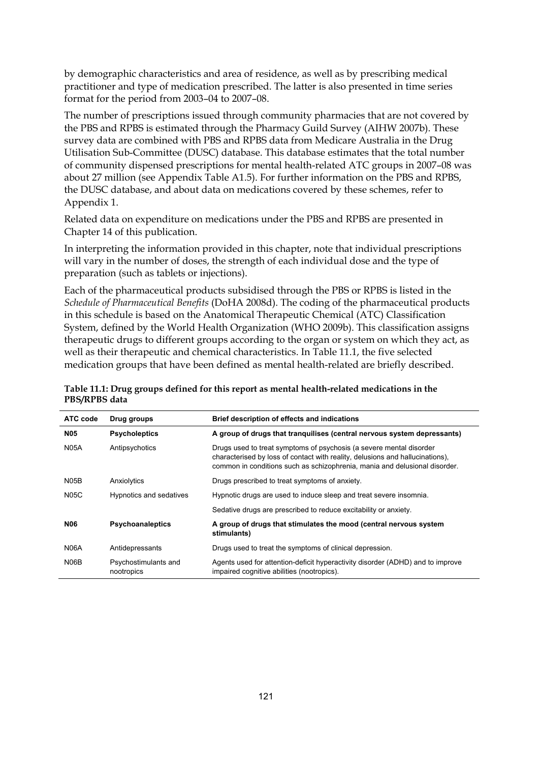by demographic characteristics and area of residence, as well as by prescribing medical practitioner and type of medication prescribed. The latter is also presented in time series format for the period from 2003–04 to 2007–08.

The number of prescriptions issued through community pharmacies that are not covered by the PBS and RPBS is estimated through the Pharmacy Guild Survey (AIHW 2007b). These survey data are combined with PBS and RPBS data from Medicare Australia in the Drug Utilisation Sub-Committee (DUSC) database. This database estimates that the total number of community dispensed prescriptions for mental health-related ATC groups in 2007–08 was about 27 million (see Appendix Table A1.5). For further information on the PBS and RPBS, the DUSC database, and about data on medications covered by these schemes, refer to Appendix 1.

Related data on expenditure on medications under the PBS and RPBS are presented in Chapter 14 of this publication.

In interpreting the information provided in this chapter, note that individual prescriptions will vary in the number of doses, the strength of each individual dose and the type of preparation (such as tablets or injections).

Each of the pharmaceutical products subsidised through the PBS or RPBS is listed in the *Schedule of Pharmaceutical Benefits* (DoHA 2008d). The coding of the pharmaceutical products in this schedule is based on the Anatomical Therapeutic Chemical (ATC) Classification System, defined by the World Health Organization (WHO 2009b). This classification assigns therapeutic drugs to different groups according to the organ or system on which they act, as well as their therapeutic and chemical characteristics. In Table 11.1, the five selected medication groups that have been defined as mental health-related are briefly described.

| ATC code          | Drug groups                        | Brief description of effects and indications                                                                                                                                                                                       |
|-------------------|------------------------------------|------------------------------------------------------------------------------------------------------------------------------------------------------------------------------------------------------------------------------------|
| <b>N05</b>        | <b>Psycholeptics</b>               | A group of drugs that tranguilises (central nervous system depressants)                                                                                                                                                            |
| <b>N05A</b>       | Antipsychotics                     | Drugs used to treat symptoms of psychosis (a severe mental disorder<br>characterised by loss of contact with reality, delusions and hallucinations).<br>common in conditions such as schizophrenia, mania and delusional disorder. |
| N <sub>05</sub> B | Anxiolytics                        | Drugs prescribed to treat symptoms of anxiety.                                                                                                                                                                                     |
| <b>N05C</b>       | Hypnotics and sedatives            | Hypnotic drugs are used to induce sleep and treat severe insomnia.                                                                                                                                                                 |
|                   |                                    | Sedative drugs are prescribed to reduce excitability or anxiety.                                                                                                                                                                   |
| N06               | <b>Psychoanaleptics</b>            | A group of drugs that stimulates the mood (central nervous system<br>stimulants)                                                                                                                                                   |
| <b>N06A</b>       | Antidepressants                    | Drugs used to treat the symptoms of clinical depression.                                                                                                                                                                           |
| N06B              | Psychostimulants and<br>nootropics | Agents used for attention-deficit hyperactivity disorder (ADHD) and to improve<br>impaired cognitive abilities (nootropics).                                                                                                       |

**Table 11.1: Drug groups defined for this report as mental health-related medications in the PBS/RPBS data**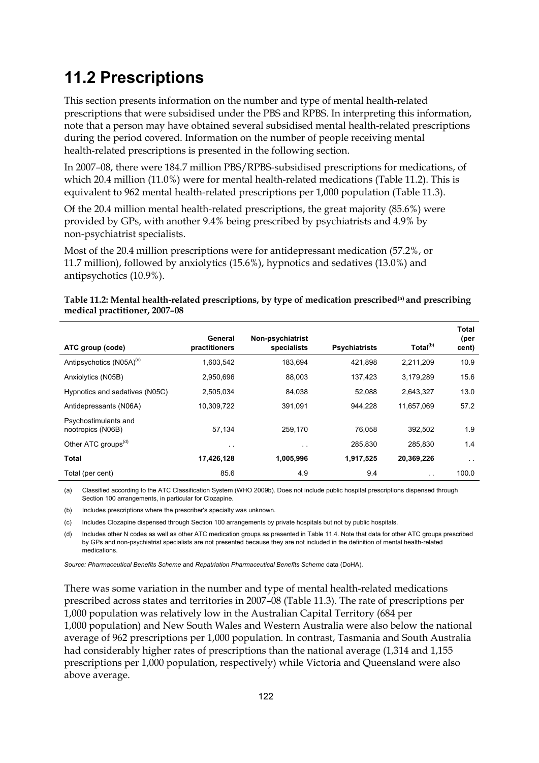# **11.2 Prescriptions**

This section presents information on the number and type of mental health-related prescriptions that were subsidised under the PBS and RPBS. In interpreting this information, note that a person may have obtained several subsidised mental health-related prescriptions during the period covered. Information on the number of people receiving mental health-related prescriptions is presented in the following section.

In 2007–08, there were 184.7 million PBS/RPBS-subsidised prescriptions for medications, of which 20.4 million (11.0%) were for mental health-related medications (Table 11.2). This is equivalent to 962 mental health-related prescriptions per 1,000 population (Table 11.3).

Of the 20.4 million mental health-related prescriptions, the great majority (85.6%) were provided by GPs, with another 9.4% being prescribed by psychiatrists and 4.9% by non-psychiatrist specialists.

Most of the 20.4 million prescriptions were for antidepressant medication (57.2%, or 11.7 million), followed by anxiolytics (15.6%), hypnotics and sedatives (13.0%) and antipsychotics (10.9%).

| ATC group (code)                          | General<br>practitioners | Non-psychiatrist<br>specialists | <b>Psychiatrists</b> | Total <sup>(b)</sup> | Total<br>(per<br>cent) |
|-------------------------------------------|--------------------------|---------------------------------|----------------------|----------------------|------------------------|
| Antipsychotics (N05A) <sup>(c)</sup>      | 1,603,542                | 183,694                         | 421,898              | 2,211,209            | 10.9                   |
| Anxiolytics (N05B)                        | 2,950,696                | 88,003                          | 137,423              | 3,179,289            | 15.6                   |
| Hypnotics and sedatives (N05C)            | 2,505,034                | 84,038                          | 52,088               | 2,643,327            | 13.0                   |
| Antidepressants (N06A)                    | 10,309,722               | 391,091                         | 944.228              | 11,657,069           | 57.2                   |
| Psychostimulants and<br>nootropics (N06B) | 57.134                   | 259.170                         | 76.058               | 392.502              | 1.9                    |
| Other ATC groups <sup>(d)</sup>           | $\sim$ $\sim$            | $\ddot{\phantom{0}}$            | 285,830              | 285,830              | 1.4                    |
| <b>Total</b>                              | 17,426,128               | 1,005,996                       | 1,917,525            | 20,369,226           | $\sim$ $\sim$          |
| Total (per cent)                          | 85.6                     | 4.9                             | 9.4                  | $\sim$               | 100.0                  |

| Table 11.2: Mental health-related prescriptions, by type of medication prescribed <sup>(a)</sup> and prescribing |  |
|------------------------------------------------------------------------------------------------------------------|--|
| medical practitioner, 2007-08                                                                                    |  |

(a) Classified according to the ATC Classification System (WHO 2009b). Does not include public hospital prescriptions dispensed through Section 100 arrangements, in particular for Clozapine.

(b) Includes prescriptions where the prescriber's specialty was unknown.

(c) Includes Clozapine dispensed through Section 100 arrangements by private hospitals but not by public hospitals.

(d) Includes other N codes as well as other ATC medication groups as presented in Table 11.4. Note that data for other ATC groups prescribed by GPs and non-psychiatrist specialists are not presented because they are not included in the definition of mental health-related medications.

*Source: Pharmaceutical Benefits Scheme* and *Repatriation Pharmaceutical Benefits Scheme* data (DoHA).

There was some variation in the number and type of mental health-related medications prescribed across states and territories in 2007–08 (Table 11.3). The rate of prescriptions per 1,000 population was relatively low in the Australian Capital Territory (684 per 1,000 population) and New South Wales and Western Australia were also below the national average of 962 prescriptions per 1,000 population. In contrast, Tasmania and South Australia had considerably higher rates of prescriptions than the national average (1,314 and 1,155 prescriptions per 1,000 population, respectively) while Victoria and Queensland were also above average.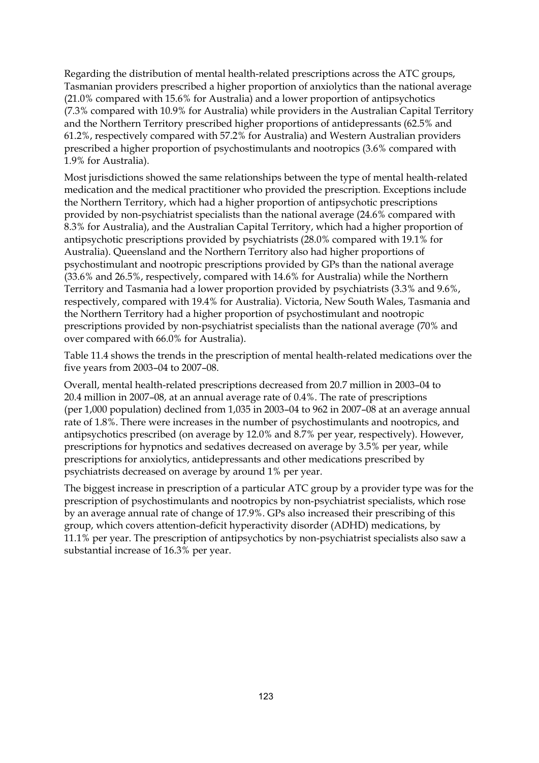Regarding the distribution of mental health-related prescriptions across the ATC groups, Tasmanian providers prescribed a higher proportion of anxiolytics than the national average (21.0% compared with 15.6% for Australia) and a lower proportion of antipsychotics (7.3% compared with 10.9% for Australia) while providers in the Australian Capital Territory and the Northern Territory prescribed higher proportions of antidepressants (62.5% and 61.2%, respectively compared with 57.2% for Australia) and Western Australian providers prescribed a higher proportion of psychostimulants and nootropics (3.6% compared with 1.9% for Australia).

Most jurisdictions showed the same relationships between the type of mental health-related medication and the medical practitioner who provided the prescription. Exceptions include the Northern Territory, which had a higher proportion of antipsychotic prescriptions provided by non-psychiatrist specialists than the national average (24.6% compared with 8.3% for Australia), and the Australian Capital Territory, which had a higher proportion of antipsychotic prescriptions provided by psychiatrists (28.0% compared with 19.1% for Australia). Queensland and the Northern Territory also had higher proportions of psychostimulant and nootropic prescriptions provided by GPs than the national average (33.6% and 26.5%, respectively, compared with 14.6% for Australia) while the Northern Territory and Tasmania had a lower proportion provided by psychiatrists (3.3% and 9.6%, respectively, compared with 19.4% for Australia). Victoria, New South Wales, Tasmania and the Northern Territory had a higher proportion of psychostimulant and nootropic prescriptions provided by non-psychiatrist specialists than the national average (70% and over compared with 66.0% for Australia).

Table 11.4 shows the trends in the prescription of mental health-related medications over the five years from 2003–04 to 2007–08.

Overall, mental health-related prescriptions decreased from 20.7 million in 2003–04 to 20.4 million in 2007–08, at an annual average rate of 0.4%. The rate of prescriptions (per 1,000 population) declined from 1,035 in 2003–04 to 962 in 2007–08 at an average annual rate of 1.8%. There were increases in the number of psychostimulants and nootropics, and antipsychotics prescribed (on average by 12.0% and 8.7% per year, respectively). However, prescriptions for hypnotics and sedatives decreased on average by 3.5% per year, while prescriptions for anxiolytics, antidepressants and other medications prescribed by psychiatrists decreased on average by around 1% per year.

The biggest increase in prescription of a particular ATC group by a provider type was for the prescription of psychostimulants and nootropics by non-psychiatrist specialists, which rose by an average annual rate of change of 17.9%. GPs also increased their prescribing of this group, which covers attention-deficit hyperactivity disorder (ADHD) medications, by 11.1% per year. The prescription of antipsychotics by non-psychiatrist specialists also saw a substantial increase of 16.3% per year.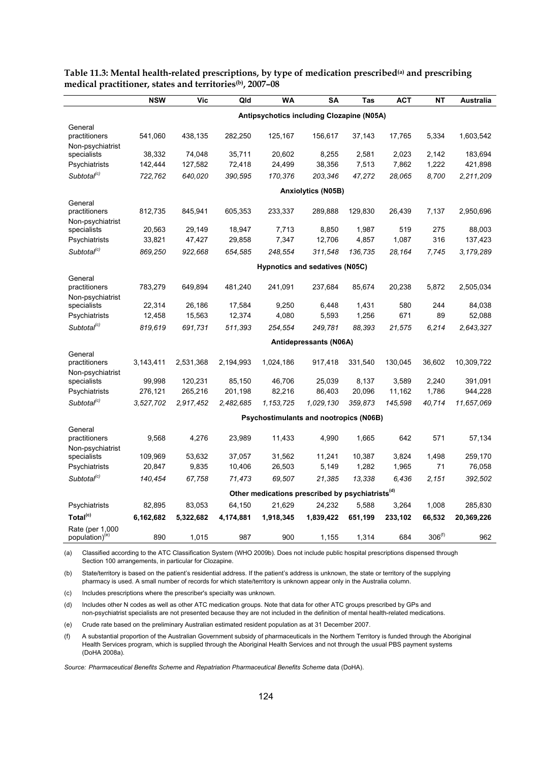|                                               | <b>NSW</b>                                | Vic       | Qld       | <b>WA</b>                                                    | <b>SA</b>                 | Tas     | <b>ACT</b> | <b>NT</b>   | Australia  |  |
|-----------------------------------------------|-------------------------------------------|-----------|-----------|--------------------------------------------------------------|---------------------------|---------|------------|-------------|------------|--|
|                                               | Antipsychotics including Clozapine (N05A) |           |           |                                                              |                           |         |            |             |            |  |
| General                                       |                                           |           |           |                                                              |                           |         |            |             |            |  |
| practitioners                                 | 541,060                                   | 438,135   | 282,250   | 125,167                                                      | 156,617                   | 37,143  | 17,765     | 5,334       | 1,603,542  |  |
| Non-psychiatrist                              |                                           |           |           |                                                              |                           |         |            |             |            |  |
| specialists                                   | 38,332                                    | 74,048    | 35,711    | 20,602                                                       | 8,255                     | 2,581   | 2,023      | 2,142       | 183,694    |  |
| Psychiatrists                                 | 142,444                                   | 127,582   | 72,418    | 24,499                                                       | 38,356                    | 7,513   | 7,862      | 1,222       | 421,898    |  |
| Subtotal <sup>(c)</sup>                       | 722,762                                   | 640,020   | 390,595   | 170,376                                                      | 203,346                   | 47,272  | 28,065     | 8,700       | 2,211,209  |  |
|                                               |                                           |           |           |                                                              | <b>Anxiolytics (N05B)</b> |         |            |             |            |  |
| General                                       |                                           |           |           |                                                              |                           |         |            |             |            |  |
| practitioners                                 | 812,735                                   | 845,941   | 605,353   | 233,337                                                      | 289,888                   | 129,830 | 26,439     | 7,137       | 2,950,696  |  |
| Non-psychiatrist<br>specialists               | 20,563                                    | 29,149    | 18,947    | 7,713                                                        | 8,850                     | 1,987   | 519        | 275         | 88,003     |  |
| Psychiatrists                                 | 33,821                                    | 47,427    | 29,858    | 7,347                                                        | 12,706                    | 4,857   | 1,087      | 316         | 137,423    |  |
| Subtotal <sup>(c)</sup>                       | 869,250                                   | 922,668   | 654,585   | 248,554                                                      | 311,548                   | 136,735 | 28,164     | 7,745       | 3,179,289  |  |
|                                               |                                           |           |           | Hypnotics and sedatives (N05C)                               |                           |         |            |             |            |  |
|                                               |                                           |           |           |                                                              |                           |         |            |             |            |  |
| General<br>practitioners                      | 783,279                                   | 649,894   | 481,240   | 241,091                                                      | 237,684                   | 85,674  | 20,238     | 5,872       | 2,505,034  |  |
| Non-psychiatrist                              |                                           |           |           |                                                              |                           |         |            |             |            |  |
| specialists                                   | 22,314                                    | 26,186    | 17,584    | 9,250                                                        | 6,448                     | 1,431   | 580<br>671 | 244<br>89   | 84,038     |  |
| Psychiatrists                                 | 12,458                                    | 15,563    | 12,374    | 4,080                                                        | 5,593                     | 1,256   |            |             | 52,088     |  |
| Subtotal <sup>(c)</sup>                       | 819,619                                   | 691,731   | 511,393   | 254,554                                                      | 249,781                   | 88,393  | 21,575     | 6,214       | 2,643,327  |  |
|                                               |                                           |           |           |                                                              | Antidepressants (N06A)    |         |            |             |            |  |
| General                                       |                                           |           |           |                                                              |                           |         |            |             |            |  |
| practitioners                                 | 3,143,411                                 | 2,531,368 | 2,194,993 | 1,024,186                                                    | 917,418                   | 331,540 | 130,045    | 36,602      | 10,309,722 |  |
| Non-psychiatrist<br>specialists               | 99,998                                    | 120,231   | 85,150    | 46.706                                                       | 25,039                    | 8,137   | 3,589      | 2,240       | 391,091    |  |
| Psychiatrists                                 | 276,121                                   | 265,216   | 201,198   | 82,216                                                       | 86,403                    | 20,096  | 11,162     | 1,786       | 944,228    |  |
| Subtotal <sup>(c)</sup>                       | 3,527,702                                 | 2,917,452 | 2,482,685 | 1, 153, 725                                                  | 1,029,130                 | 359,873 | 145,598    | 40,714      | 11,657,069 |  |
|                                               |                                           |           |           | Psychostimulants and nootropics (N06B)                       |                           |         |            |             |            |  |
| General                                       |                                           |           |           |                                                              |                           |         |            |             |            |  |
| practitioners                                 | 9,568                                     | 4,276     | 23,989    | 11,433                                                       | 4,990                     | 1,665   | 642        | 571         | 57,134     |  |
| Non-psychiatrist                              |                                           |           |           |                                                              |                           |         |            |             |            |  |
| specialists                                   | 109,969                                   | 53,632    | 37,057    | 31,562                                                       | 11,241                    | 10,387  | 3,824      | 1,498       | 259,170    |  |
| Psychiatrists                                 | 20,847                                    | 9,835     | 10,406    | 26,503                                                       | 5,149                     | 1,282   | 1,965      | 71          | 76,058     |  |
| Subtotal <sup>(c)</sup>                       | 140,454                                   | 67,758    | 71,473    | 69,507                                                       | 21,385                    | 13,338  | 6,436      | 2,151       | 392,502    |  |
|                                               |                                           |           |           | Other medications prescribed by psychiatrists <sup>(d)</sup> |                           |         |            |             |            |  |
| Psychiatrists                                 | 82,895                                    | 83,053    | 64,150    | 21,629                                                       | 24,232                    | 5,588   | 3,264      | 1,008       | 285,830    |  |
| Total <sup>(c)</sup>                          | 6,162,682                                 | 5,322,682 | 4,174,881 | 1,918,345                                                    | 1,839,422                 | 651,199 | 233,102    | 66,532      | 20,369,226 |  |
| Rate (per 1,000<br>population) <sup>(e)</sup> | 890                                       | 1,015     | 987       | 900                                                          | 1,155                     | 1,314   | 684        | $306^{(f)}$ | 962        |  |
|                                               |                                           |           |           |                                                              |                           |         |            |             |            |  |

**Table 11.3: Mental health-related prescriptions, by type of medication prescribed(a) and prescribing medical practitioner, states and territories(b), 2007–08** 

(a) Classified according to the ATC Classification System (WHO 2009b). Does not include public hospital prescriptions dispensed through Section 100 arrangements, in particular for Clozapine.

(b) State/territory is based on the patient's residential address. If the patient's address is unknown, the state or territory of the supplying pharmacy is used. A small number of records for which state/territory is unknown appear only in the Australia column.

(c) Includes prescriptions where the prescriber's specialty was unknown.

(d) Includes other N codes as well as other ATC medication groups. Note that data for other ATC groups prescribed by GPs and non-psychiatrist specialists are not presented because they are not included in the definition of mental health-related medications.

(e) Crude rate based on the preliminary Australian estimated resident population as at 31 December 2007.

(f) A substantial proportion of the Australian Government subsidy of pharmaceuticals in the Northern Territory is funded through the Aboriginal Health Services program, which is supplied through the Aboriginal Health Services and not through the usual PBS payment systems (DoHA 2008a).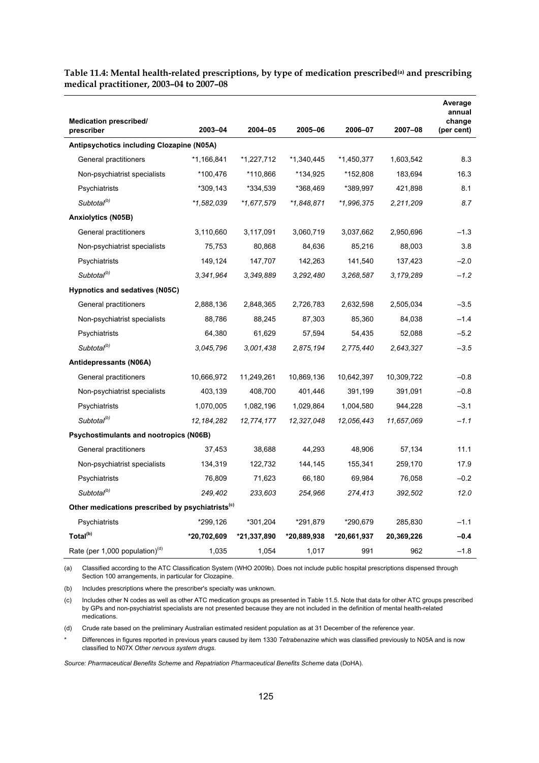| <b>Medication prescribed/</b>                                |              |             |             |             |            | Average<br>annual<br>change |
|--------------------------------------------------------------|--------------|-------------|-------------|-------------|------------|-----------------------------|
| prescriber                                                   | 2003-04      | 2004-05     | 2005-06     | 2006-07     | 2007-08    | (per cent)                  |
| Antipsychotics including Clozapine (N05A)                    |              |             |             |             |            |                             |
| General practitioners                                        | *1,166,841   | *1,227,712  | *1,340,445  | *1,450,377  | 1,603,542  | 8.3                         |
| Non-psychiatrist specialists                                 | *100,476     | *110,866    | *134,925    | *152,808    | 183,694    | 16.3                        |
| Psychiatrists                                                | *309,143     | *334,539    | *368,469    | *389,997    | 421,898    | 8.1                         |
| Subtotal <sup>(b)</sup>                                      | *1,582,039   | *1,677,579  | *1,848,871  | *1,996,375  | 2,211,209  | 8.7                         |
| <b>Anxiolytics (N05B)</b>                                    |              |             |             |             |            |                             |
| General practitioners                                        | 3,110,660    | 3,117,091   | 3,060,719   | 3,037,662   | 2,950,696  | $-1.3$                      |
| Non-psychiatrist specialists                                 | 75,753       | 80,868      | 84,636      | 85,216      | 88,003     | 3.8                         |
| Psychiatrists                                                | 149,124      | 147,707     | 142,263     | 141,540     | 137,423    | $-2.0$                      |
| Subtotal <sup>(b)</sup>                                      | 3.341.964    | 3,349,889   | 3,292,480   | 3,268,587   | 3,179,289  | $-1.2$                      |
| Hypnotics and sedatives (N05C)                               |              |             |             |             |            |                             |
| General practitioners                                        | 2,888,136    | 2,848,365   | 2,726,783   | 2,632,598   | 2,505,034  | $-3.5$                      |
| Non-psychiatrist specialists                                 | 88,786       | 88,245      | 87,303      | 85,360      | 84,038     | $-1.4$                      |
| Psychiatrists                                                | 64,380       | 61,629      | 57,594      | 54,435      | 52,088     | $-5.2$                      |
| Subtotal <sup>(b)</sup>                                      | 3.045.796    | 3,001,438   | 2,875,194   | 2,775,440   | 2,643,327  | $-3.5$                      |
| Antidepressants (N06A)                                       |              |             |             |             |            |                             |
| General practitioners                                        | 10,666,972   | 11,249,261  | 10,869,136  | 10,642,397  | 10,309,722 | $-0.8$                      |
| Non-psychiatrist specialists                                 | 403,139      | 408,700     | 401,446     | 391,199     | 391,091    | $-0.8$                      |
| Psychiatrists                                                | 1,070,005    | 1,082,196   | 1,029,864   | 1,004,580   | 944,228    | $-3.1$                      |
| Subtotal <sup>(b)</sup>                                      | 12, 184, 282 | 12,774,177  | 12,327,048  | 12,056,443  | 11,657,069 | $-1.1$                      |
| Psychostimulants and nootropics (N06B)                       |              |             |             |             |            |                             |
| General practitioners                                        | 37,453       | 38,688      | 44,293      | 48,906      | 57,134     | 11.1                        |
| Non-psychiatrist specialists                                 | 134,319      | 122,732     | 144,145     | 155,341     | 259,170    | 17.9                        |
| Psychiatrists                                                | 76,809       | 71,623      | 66,180      | 69,984      | 76,058     | $-0.2$                      |
| Subtotal <sup>(b)</sup>                                      | 249,402      | 233,603     | 254,966     | 274,413     | 392,502    | 12.0                        |
| Other medications prescribed by psychiatrists <sup>(c)</sup> |              |             |             |             |            |                             |
| Psychiatrists                                                | *299,126     | *301,204    | *291,879    | *290,679    | 285,830    | $-1.1$                      |
| Total <sup>(b)</sup>                                         | *20,702,609  | *21,337,890 | *20,889,938 | *20,661,937 | 20,369,226 | $-0.4$                      |
| Rate (per 1,000 population) <sup>(d)</sup>                   | 1,035        | 1,054       | 1,017       | 991         | 962        | $-1.8$                      |

**Table 11.4: Mental health-related prescriptions, by type of medication prescribed(a) and prescribing medical practitioner, 2003–04 to 2007–08** 

(a) Classified according to the ATC Classification System (WHO 2009b). Does not include public hospital prescriptions dispensed through Section 100 arrangements, in particular for Clozapine.

(b) Includes prescriptions where the prescriber's specialty was unknown.

(c) Includes other N codes as well as other ATC medication groups as presented in Table 11.5. Note that data for other ATC groups prescribed by GPs and non-psychiatrist specialists are not presented because they are not included in the definition of mental health-related medications.

(d) Crude rate based on the preliminary Australian estimated resident population as at 31 December of the reference year.

\* Differences in figures reported in previous years caused by item 1330 *Tetrabenazine* which was classified previously to N05A and is now classified to N07X *Other nervous system drugs*.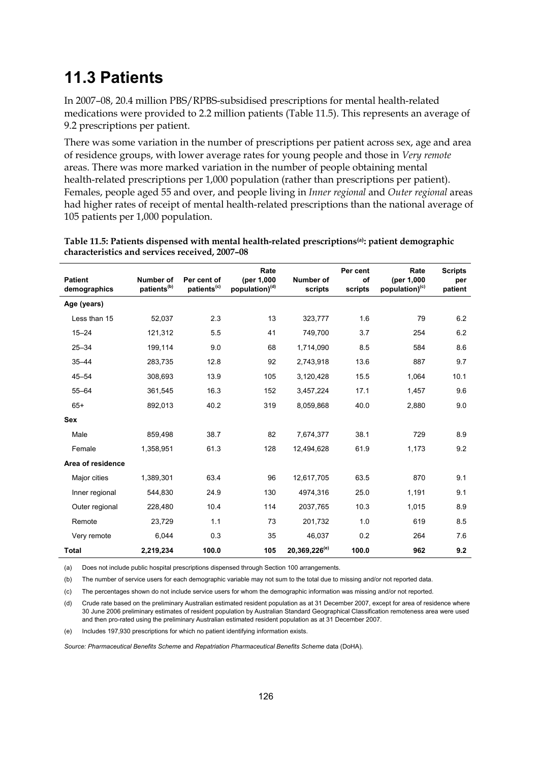### **11.3 Patients**

In 2007–08, 20.4 million PBS/RPBS-subsidised prescriptions for mental health-related medications were provided to 2.2 million patients (Table 11.5). This represents an average of 9.2 prescriptions per patient.

There was some variation in the number of prescriptions per patient across sex, age and area of residence groups, with lower average rates for young people and those in *Very remote* areas. There was more marked variation in the number of people obtaining mental health-related prescriptions per 1,000 population (rather than prescriptions per patient). Females, people aged 55 and over, and people living in *Inner regional* and *Outer regional* areas had higher rates of receipt of mental health-related prescriptions than the national average of 105 patients per 1,000 population.

| <b>Patient</b><br>demographics | Number of<br>patients <sup>(b)</sup> | Per cent of<br>patients <sup>(c)</sup> | Rate<br>(per 1,000<br>population) <sup>(d)</sup> | Number of<br>scripts      | Per cent<br>of<br>scripts | Rate<br>(per 1,000<br>population) <sup>(c)</sup> | <b>Scripts</b><br>per<br>patient |
|--------------------------------|--------------------------------------|----------------------------------------|--------------------------------------------------|---------------------------|---------------------------|--------------------------------------------------|----------------------------------|
| Age (years)                    |                                      |                                        |                                                  |                           |                           |                                                  |                                  |
| Less than 15                   | 52,037                               | 2.3                                    | 13                                               | 323,777                   | 1.6                       | 79                                               | 6.2                              |
| $15 - 24$                      | 121,312                              | 5.5                                    | 41                                               | 749,700                   | 3.7                       | 254                                              | 6.2                              |
| $25 - 34$                      | 199,114                              | 9.0                                    | 68                                               | 1,714,090                 | 8.5                       | 584                                              | 8.6                              |
| $35 - 44$                      | 283,735                              | 12.8                                   | 92                                               | 2,743,918                 | 13.6                      | 887                                              | 9.7                              |
| $45 - 54$                      | 308,693                              | 13.9                                   | 105                                              | 3,120,428                 | 15.5                      | 1,064                                            | 10.1                             |
| $55 - 64$                      | 361,545                              | 16.3                                   | 152                                              | 3,457,224                 | 17.1                      | 1,457                                            | 9.6                              |
| $65+$                          | 892,013                              | 40.2                                   | 319                                              | 8,059,868                 | 40.0                      | 2,880                                            | 9.0                              |
| <b>Sex</b>                     |                                      |                                        |                                                  |                           |                           |                                                  |                                  |
| Male                           | 859,498                              | 38.7                                   | 82                                               | 7,674,377                 | 38.1                      | 729                                              | 8.9                              |
| Female                         | 1,358,951                            | 61.3                                   | 128                                              | 12,494,628                | 61.9                      | 1,173                                            | 9.2                              |
| Area of residence              |                                      |                                        |                                                  |                           |                           |                                                  |                                  |
| Major cities                   | 1,389,301                            | 63.4                                   | 96                                               | 12,617,705                | 63.5                      | 870                                              | 9.1                              |
| Inner regional                 | 544,830                              | 24.9                                   | 130                                              | 4974,316                  | 25.0                      | 1,191                                            | 9.1                              |
| Outer regional                 | 228,480                              | 10.4                                   | 114                                              | 2037,765                  | 10.3                      | 1,015                                            | 8.9                              |
| Remote                         | 23,729                               | 1.1                                    | 73                                               | 201,732                   | 1.0                       | 619                                              | 8.5                              |
| Very remote                    | 6,044                                | 0.3                                    | 35                                               | 46,037                    | 0.2                       | 264                                              | 7.6                              |
| <b>Total</b>                   | 2,219,234                            | 100.0                                  | 105                                              | 20.369.226 <sup>(e)</sup> | 100.0                     | 962                                              | 9.2                              |

**Table 11.5: Patients dispensed with mental health-related prescriptions(a): patient demographic characteristics and services received, 2007–08** 

(a) Does not include public hospital prescriptions dispensed through Section 100 arrangements.

(b) The number of service users for each demographic variable may not sum to the total due to missing and/or not reported data.

(c) The percentages shown do not include service users for whom the demographic information was missing and/or not reported.

(d) Crude rate based on the preliminary Australian estimated resident population as at 31 December 2007, except for area of residence where 30 June 2006 preliminary estimates of resident population by Australian Standard Geographical Classification remoteness area were used and then pro-rated using the preliminary Australian estimated resident population as at 31 December 2007.

(e) Includes 197,930 prescriptions for which no patient identifying information exists.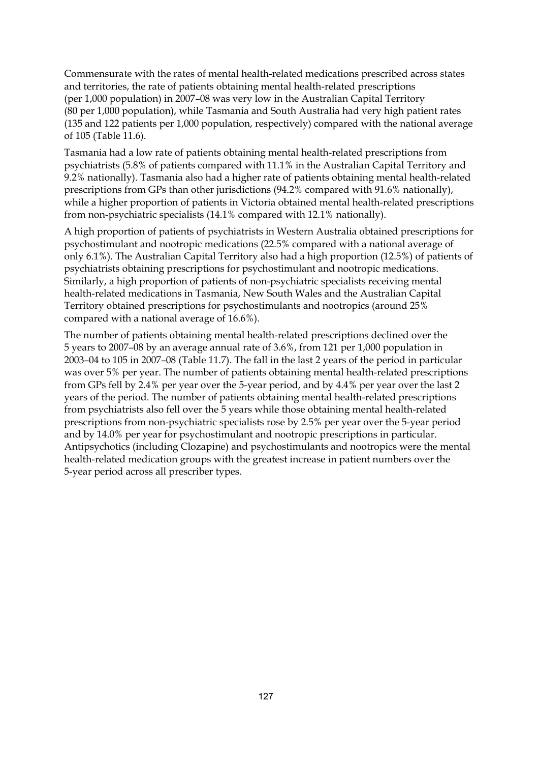Commensurate with the rates of mental health-related medications prescribed across states and territories, the rate of patients obtaining mental health-related prescriptions (per 1,000 population) in 2007–08 was very low in the Australian Capital Territory (80 per 1,000 population), while Tasmania and South Australia had very high patient rates (135 and 122 patients per 1,000 population, respectively) compared with the national average of 105 (Table 11.6).

Tasmania had a low rate of patients obtaining mental health-related prescriptions from psychiatrists (5.8% of patients compared with 11.1% in the Australian Capital Territory and 9.2% nationally). Tasmania also had a higher rate of patients obtaining mental health-related prescriptions from GPs than other jurisdictions (94.2% compared with 91.6% nationally), while a higher proportion of patients in Victoria obtained mental health-related prescriptions from non-psychiatric specialists (14.1% compared with 12.1% nationally).

A high proportion of patients of psychiatrists in Western Australia obtained prescriptions for psychostimulant and nootropic medications (22.5% compared with a national average of only 6.1%). The Australian Capital Territory also had a high proportion (12.5%) of patients of psychiatrists obtaining prescriptions for psychostimulant and nootropic medications. Similarly, a high proportion of patients of non-psychiatric specialists receiving mental health-related medications in Tasmania, New South Wales and the Australian Capital Territory obtained prescriptions for psychostimulants and nootropics (around 25% compared with a national average of 16.6%).

The number of patients obtaining mental health-related prescriptions declined over the 5 years to 2007–08 by an average annual rate of 3.6%, from 121 per 1,000 population in 2003–04 to 105 in 2007–08 (Table 11.7). The fall in the last 2 years of the period in particular was over 5% per year. The number of patients obtaining mental health-related prescriptions from GPs fell by 2.4% per year over the 5-year period, and by 4.4% per year over the last 2 years of the period. The number of patients obtaining mental health-related prescriptions from psychiatrists also fell over the 5 years while those obtaining mental health-related prescriptions from non-psychiatric specialists rose by 2.5% per year over the 5-year period and by 14.0% per year for psychostimulant and nootropic prescriptions in particular. Antipsychotics (including Clozapine) and psychostimulants and nootropics were the mental health-related medication groups with the greatest increase in patient numbers over the 5-year period across all prescriber types.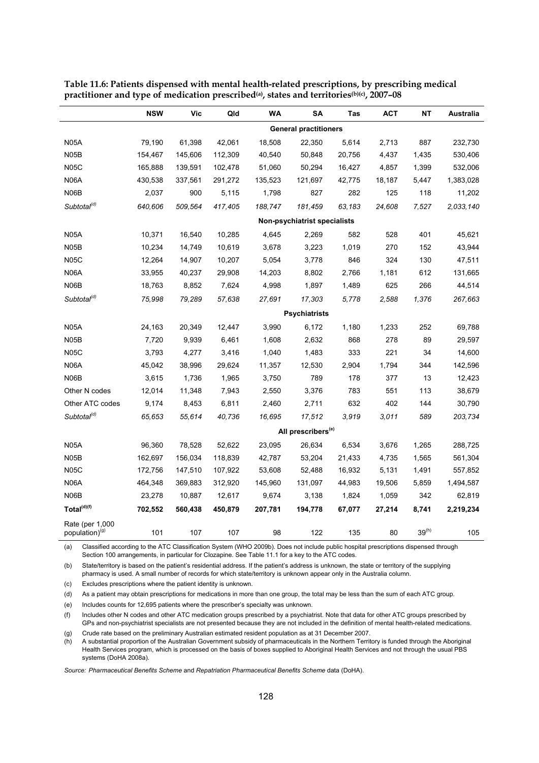|                                               | <b>NSW</b>                   | Vic     | Qld     | WA      | SA                             | Tas    | <b>ACT</b> | ΝT         | Australia |
|-----------------------------------------------|------------------------------|---------|---------|---------|--------------------------------|--------|------------|------------|-----------|
|                                               | <b>General practitioners</b> |         |         |         |                                |        |            |            |           |
| <b>N05A</b>                                   | 79,190                       | 61,398  | 42,061  | 18,508  | 22,350                         | 5,614  | 2,713      | 887        | 232,730   |
| <b>N05B</b>                                   | 154,467                      | 145,606 | 112,309 | 40,540  | 50,848                         | 20,756 | 4,437      | 1,435      | 530,406   |
| <b>N05C</b>                                   | 165,888                      | 139,591 | 102,478 | 51,060  | 50,294                         | 16,427 | 4,857      | 1,399      | 532,006   |
| N06A                                          | 430,538                      | 337,561 | 291,272 | 135,523 | 121,697                        | 42,775 | 18,187     | 5,447      | 1,383,028 |
| N06B                                          | 2,037                        | 900     | 5,115   | 1,798   | 827                            | 282    | 125        | 118        | 11,202    |
| Subtotal <sup>(d)</sup>                       | 640,606                      | 509,564 | 417,405 | 188,747 | 181,459                        | 63,183 | 24,608     | 7,527      | 2,033,140 |
|                                               |                              |         |         |         | Non-psychiatrist specialists   |        |            |            |           |
| <b>N05A</b>                                   | 10,371                       | 16,540  | 10,285  | 4,645   | 2,269                          | 582    | 528        | 401        | 45,621    |
| N05B                                          | 10,234                       | 14,749  | 10,619  | 3,678   | 3,223                          | 1,019  | 270        | 152        | 43,944    |
| <b>N05C</b>                                   | 12,264                       | 14,907  | 10,207  | 5,054   | 3,778                          | 846    | 324        | 130        | 47,511    |
| N06A                                          | 33,955                       | 40,237  | 29,908  | 14,203  | 8,802                          | 2,766  | 1,181      | 612        | 131,665   |
| N06B                                          | 18,763                       | 8,852   | 7,624   | 4,998   | 1,897                          | 1,489  | 625        | 266        | 44,514    |
| Subtotal <sup>(d)</sup>                       | 75,998                       | 79,289  | 57,638  | 27,691  | 17,303                         | 5,778  | 2,588      | 1,376      | 267,663   |
|                                               |                              |         |         |         | <b>Psychiatrists</b>           |        |            |            |           |
| <b>N05A</b>                                   | 24,163                       | 20,349  | 12,447  | 3,990   | 6,172                          | 1,180  | 1,233      | 252        | 69,788    |
| N <sub>05</sub> B                             | 7,720                        | 9,939   | 6,461   | 1,608   | 2,632                          | 868    | 278        | 89         | 29,597    |
| <b>N05C</b>                                   | 3,793                        | 4,277   | 3,416   | 1,040   | 1,483                          | 333    | 221        | 34         | 14,600    |
| N06A                                          | 45,042                       | 38,996  | 29,624  | 11,357  | 12,530                         | 2,904  | 1,794      | 344        | 142,596   |
| N06B                                          | 3,615                        | 1,736   | 1,965   | 3,750   | 789                            | 178    | 377        | 13         | 12,423    |
| Other N codes                                 | 12,014                       | 11,348  | 7,943   | 2,550   | 3,376                          | 783    | 551        | 113        | 38,679    |
| Other ATC codes                               | 9,174                        | 8,453   | 6,811   | 2,460   | 2,711                          | 632    | 402        | 144        | 30,790    |
| Subtotal <sup>(d)</sup>                       | 65,653                       | 55,614  | 40,736  | 16,695  | 17,512                         | 3,919  | 3,011      | 589        | 203,734   |
|                                               |                              |         |         |         | All prescribers <sup>(e)</sup> |        |            |            |           |
| <b>N05A</b>                                   | 96,360                       | 78,528  | 52,622  | 23,095  | 26,634                         | 6,534  | 3,676      | 1,265      | 288,725   |
| N <sub>05</sub> B                             | 162,697                      | 156,034 | 118,839 | 42,787  | 53,204                         | 21,433 | 4,735      | 1,565      | 561,304   |
| <b>N05C</b>                                   | 172,756                      | 147,510 | 107,922 | 53,608  | 52,488                         | 16,932 | 5,131      | 1,491      | 557,852   |
| N06A                                          | 464,348                      | 369,883 | 312,920 | 145,960 | 131,097                        | 44,983 | 19,506     | 5,859      | 1,494,587 |
| N06B                                          | 23,278                       | 10,887  | 12,617  | 9,674   | 3,138                          | 1,824  | 1,059      | 342        | 62,819    |
| Total <sup>(d)(f)</sup>                       | 702,552                      | 560,438 | 450,879 | 207,781 | 194,778                        | 67,077 | 27,214     | 8,741      | 2,219,234 |
| Rate (per 1,000<br>population) <sup>(g)</sup> | 101                          | 107     | 107     | 98      | 122                            | 135    | 80         | $39^{(h)}$ | 105       |

**Table 11.6: Patients dispensed with mental health-related prescriptions, by prescribing medical practitioner and type of medication prescribed(a), states and territories(b)(c), 2007–08** 

(a) Classified according to the ATC Classification System (WHO 2009b). Does not include public hospital prescriptions dispensed through Section 100 arrangements, in particular for Clozapine. See Table 11.1 for a key to the ATC codes.

(b) State/territory is based on the patient's residential address. If the patient's address is unknown, the state or territory of the supplying pharmacy is used. A small number of records for which state/territory is unknown appear only in the Australia column.

(c) Excludes prescriptions where the patient identity is unknown.

(d) As a patient may obtain prescriptions for medications in more than one group, the total may be less than the sum of each ATC group.

(e) Includes counts for 12,695 patients where the prescriber's specialty was unknown.

(f) Includes other N codes and other ATC medication groups prescribed by a psychiatrist. Note that data for other ATC groups prescribed by GPs and non-psychiatrist specialists are not presented because they are not included in the definition of mental health-related medications. (g) Crude rate based on the preliminary Australian estimated resident population as at 31 December 2007.

(h) A substantial proportion of the Australian Government subsidy of pharmaceuticals in the Northern Territory is funded through the Aboriginal Health Services program, which is processed on the basis of boxes supplied to Aboriginal Health Services and not through the usual PBS systems (DoHA 2008a).